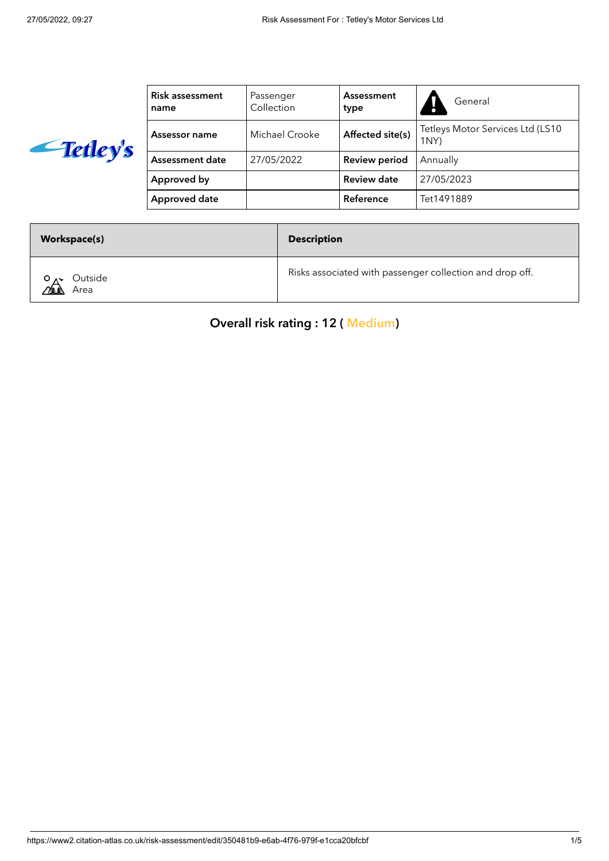

| <b>Risk assessment</b><br>name | Passenger<br>Collection            | Assessment<br>type   | General                                  |
|--------------------------------|------------------------------------|----------------------|------------------------------------------|
| Assessor name                  | Affected site(s)<br>Michael Crooke |                      | Tetleys Motor Services Ltd (LS10<br>1NY) |
| Assessment date                | 27/05/2022                         | <b>Review period</b> | Annually                                 |
| Approved by                    |                                    | Review date          | 27/05/2023                               |
| Approved date                  |                                    | Reference            | Tet1491889                               |

| <b>Workspace(s)</b>         | <b>Description</b>                                       |
|-----------------------------|----------------------------------------------------------|
| Outside<br>$\alpha$<br>Area | Risks associated with passenger collection and drop off. |

Overall risk rating : 12 ( Medium)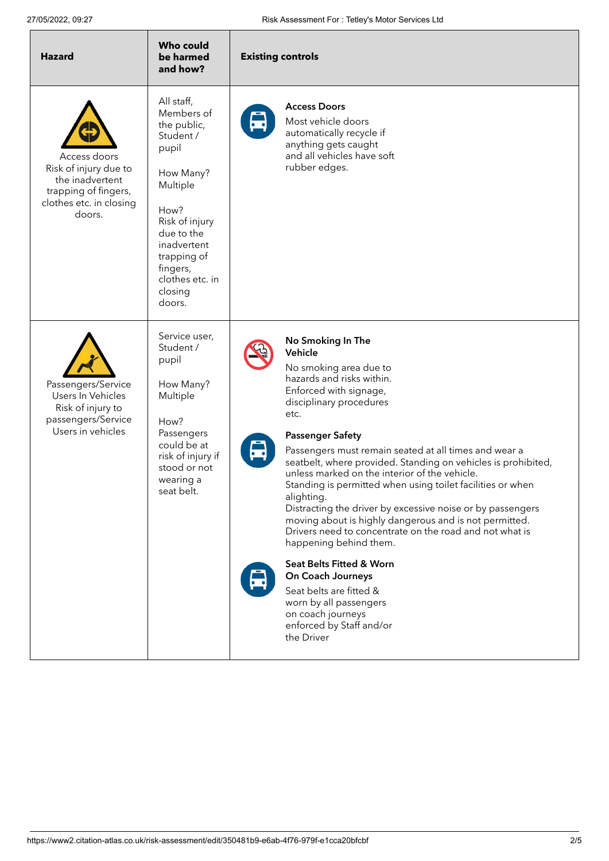| <b>Hazard</b>                                                                                                         | <b>Who could</b><br>be harmed<br>and how?                                                                                                                                                                        | <b>Existing controls</b>                                                                                                                                                                                                                                                                                                                                                                                                                                                                                                                                                                                                                                                                                                                                                                                             |
|-----------------------------------------------------------------------------------------------------------------------|------------------------------------------------------------------------------------------------------------------------------------------------------------------------------------------------------------------|----------------------------------------------------------------------------------------------------------------------------------------------------------------------------------------------------------------------------------------------------------------------------------------------------------------------------------------------------------------------------------------------------------------------------------------------------------------------------------------------------------------------------------------------------------------------------------------------------------------------------------------------------------------------------------------------------------------------------------------------------------------------------------------------------------------------|
| Access doors<br>Risk of injury due to<br>the inadvertent<br>trapping of fingers,<br>clothes etc. in closing<br>doors. | All staff,<br>Members of<br>the public,<br>Student /<br>pupil<br>How Many?<br>Multiple<br>How?<br>Risk of injury<br>due to the<br>inadvertent<br>trapping of<br>fingers,<br>clothes etc. in<br>closing<br>doors. | <b>Access Doors</b><br>Most vehicle doors<br>automatically recycle if<br>anything gets caught<br>and all vehicles have soft<br>rubber edges.                                                                                                                                                                                                                                                                                                                                                                                                                                                                                                                                                                                                                                                                         |
| Passengers/Service<br>Users In Vehicles<br>Risk of injury to<br>passengers/Service<br>Users in vehicles               | Service user,<br>Student /<br>pupil<br>How Many?<br>Multiple<br>How?<br>Passengers<br>could be at<br>risk of injury if<br>stood or not<br>wearing a<br>seat belt.                                                | No Smoking In The<br>Vehicle<br>No smoking area due to<br>hazards and risks within.<br>Enforced with signage,<br>disciplinary procedures<br>etc.<br><b>Passenger Safety</b><br>Passengers must remain seated at all times and wear a<br>seatbelt, where provided. Standing on vehicles is prohibited,<br>unless marked on the interior of the vehicle.<br>Standing is permitted when using toilet facilities or when<br>alighting.<br>Distracting the driver by excessive noise or by passengers<br>moving about is highly dangerous and is not permitted.<br>Drivers need to concentrate on the road and not what is<br>happening behind them.<br>Seat Belts Fitted & Worn<br>On Coach Journeys<br>Seat belts are fitted &<br>worn by all passengers<br>on coach journeys<br>enforced by Staff and/or<br>the Driver |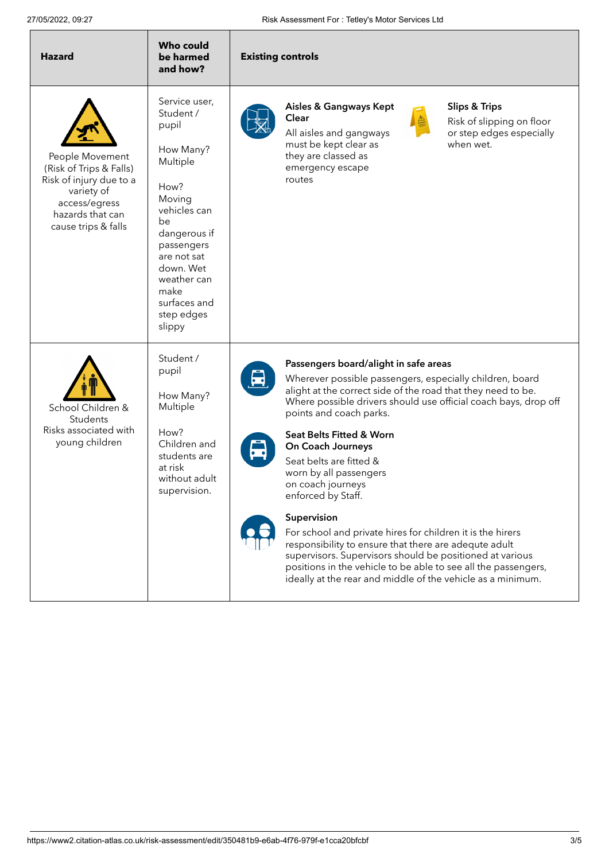| <b>Hazard</b>                                                                                                                                   | <b>Who could</b><br>be harmed<br>and how?                                                                                                                                                                                     | <b>Existing controls</b>                                                                                                                                                                                                                                                                                                                                                                                                                                                                                                                                                                                                                                                                                                                            |  |
|-------------------------------------------------------------------------------------------------------------------------------------------------|-------------------------------------------------------------------------------------------------------------------------------------------------------------------------------------------------------------------------------|-----------------------------------------------------------------------------------------------------------------------------------------------------------------------------------------------------------------------------------------------------------------------------------------------------------------------------------------------------------------------------------------------------------------------------------------------------------------------------------------------------------------------------------------------------------------------------------------------------------------------------------------------------------------------------------------------------------------------------------------------------|--|
| People Movement<br>(Risk of Trips & Falls)<br>Risk of injury due to a<br>variety of<br>access/egress<br>hazards that can<br>cause trips & falls | Service user,<br>Student /<br>pupil<br>How Many?<br>Multiple<br>How?<br>Moving<br>vehicles can<br>be<br>dangerous if<br>passengers<br>are not sat<br>down. Wet<br>weather can<br>make<br>surfaces and<br>step edges<br>slippy | Aisles & Gangways Kept<br><b>Slips &amp; Trips</b><br>Clear<br>Risk of slipping on floor<br>All aisles and gangways<br>or step edges especially<br>must be kept clear as<br>when wet.<br>they are classed as<br>emergency escape<br>routes                                                                                                                                                                                                                                                                                                                                                                                                                                                                                                          |  |
| School Children &<br>Students<br>Risks associated with<br>young children                                                                        | Student /<br>pupil<br>How Many?<br>Multiple<br>How?<br>Children and<br>students are<br>at risk<br>without adult<br>supervision.                                                                                               | Passengers board/alight in safe areas<br>Wherever possible passengers, especially children, board<br>alight at the correct side of the road that they need to be.<br>Where possible drivers should use official coach bays, drop off<br>points and coach parks.<br>Seat Belts Fitted & Worn<br>On Coach Journeys<br>Seat belts are fitted &<br>worn by all passengers<br>on coach journeys<br>enforced by Staff.<br>Supervision<br>For school and private hires for children it is the hirers<br>responsibility to ensure that there are adequte adult<br>supervisors. Supervisors should be positioned at various<br>positions in the vehicle to be able to see all the passengers,<br>ideally at the rear and middle of the vehicle as a minimum. |  |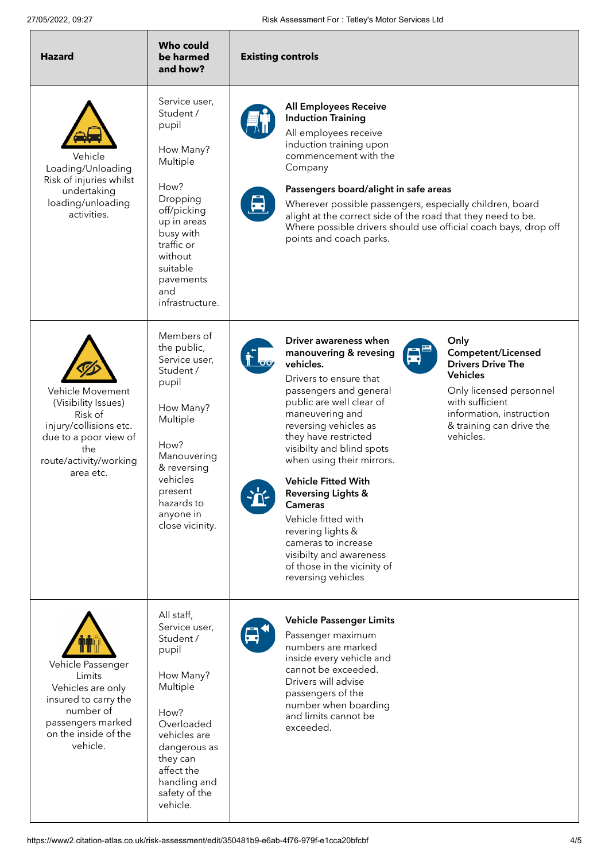| <b>Hazard</b>                                                                                                                                       | <b>Who could</b><br>be harmed<br>and how?                                                                                                                                                               | <b>Existing controls</b>                                                                                                                                                                                                                                                                                                                                                                                                                                                                                                                                                                                                                                                                                                       |  |
|-----------------------------------------------------------------------------------------------------------------------------------------------------|---------------------------------------------------------------------------------------------------------------------------------------------------------------------------------------------------------|--------------------------------------------------------------------------------------------------------------------------------------------------------------------------------------------------------------------------------------------------------------------------------------------------------------------------------------------------------------------------------------------------------------------------------------------------------------------------------------------------------------------------------------------------------------------------------------------------------------------------------------------------------------------------------------------------------------------------------|--|
| Vehicle<br>Loading/Unloading<br>Risk of injuries whilst<br>undertaking<br>loading/unloading<br>activities.                                          | Service user,<br>Student /<br>pupil<br>How Many?<br>Multiple<br>How?<br>Dropping<br>off/picking<br>up in areas<br>busy with<br>traffic or<br>without<br>suitable<br>pavements<br>and<br>infrastructure. | <b>All Employees Receive</b><br><b>Induction Training</b><br>All employees receive<br>induction training upon<br>commencement with the<br>Company<br>Passengers board/alight in safe areas<br>Wherever possible passengers, especially children, board<br>alight at the correct side of the road that they need to be.<br>Where possible drivers should use official coach bays, drop off<br>points and coach parks.                                                                                                                                                                                                                                                                                                           |  |
| Vehicle Movement<br>(Visibility Issues)<br>Risk of<br>injury/collisions etc.<br>due to a poor view of<br>the<br>route/activity/working<br>area etc. | Members of<br>the public,<br>Service user,<br>Student /<br>pupil<br>How Many?<br>Multiple<br>How?<br>Manouvering<br>& reversing<br>vehicles<br>present<br>hazards to<br>anyone in<br>close vicinity.    | Driver awareness when<br>Only<br>Competent/Licensed<br>manouvering & revesing<br>vehicles.<br><b>Drivers Drive The</b><br><b>Vehicles</b><br>Drivers to ensure that<br>passengers and general<br>Only licensed personnel<br>with sufficient<br>public are well clear of<br>maneuvering and<br>information, instruction<br>reversing vehicles as<br>& training can drive the<br>vehicles.<br>they have restricted<br>visibilty and blind spots<br>when using their mirrors.<br><b>Vehicle Fitted With</b><br><b>Reversing Lights &amp;</b><br>$\mathbf{T}$<br><b>Cameras</b><br>Vehicle fitted with<br>revering lights &<br>cameras to increase<br>visibilty and awareness<br>of those in the vicinity of<br>reversing vehicles |  |
| Vehicle Passenger<br>Limits<br>Vehicles are only<br>insured to carry the<br>number of<br>passengers marked<br>on the inside of the<br>vehicle.      | All staff,<br>Service user,<br>Student /<br>pupil<br>How Many?<br>Multiple<br>How?<br>Overloaded<br>vehicles are<br>dangerous as<br>they can<br>affect the<br>handling and<br>safety of the<br>vehicle. | <b>Vehicle Passenger Limits</b><br>$\blacksquare$<br>Passenger maximum<br>numbers are marked<br>inside every vehicle and<br>cannot be exceeded.<br>Drivers will advise<br>passengers of the<br>number when boarding<br>and limits cannot be<br>exceeded.                                                                                                                                                                                                                                                                                                                                                                                                                                                                       |  |